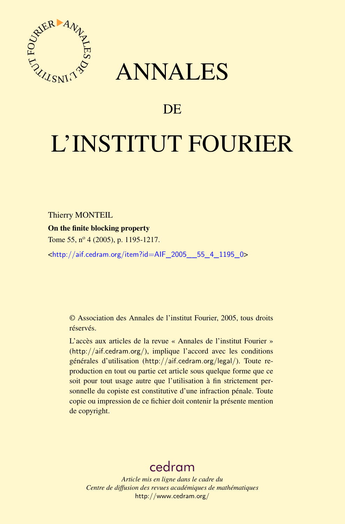



# DE

# L'INSTITUT FOURIER

Thierry MONTEIL

On the finite blocking property

Tome 55, nº 4 (2005), p. 1195-1217.

<[http://aif.cedram.org/item?id=AIF\\_2005\\_\\_55\\_4\\_1195\\_0](http://aif.cedram.org/item?id=AIF_2005__55_4_1195_0)>

© Association des Annales de l'institut Fourier, 2005, tous droits réservés.

L'accès aux articles de la revue « Annales de l'institut Fourier » (<http://aif.cedram.org/>), implique l'accord avec les conditions générales d'utilisation (<http://aif.cedram.org/legal/>). Toute reproduction en tout ou partie cet article sous quelque forme que ce soit pour tout usage autre que l'utilisation à fin strictement personnelle du copiste est constitutive d'une infraction pénale. Toute copie ou impression de ce fichier doit contenir la présente mention de copyright.

# [cedram](http://www.cedram.org/)

*Article mis en ligne dans le cadre du Centre de diffusion des revues académiques de mathématiques* <http://www.cedram.org/>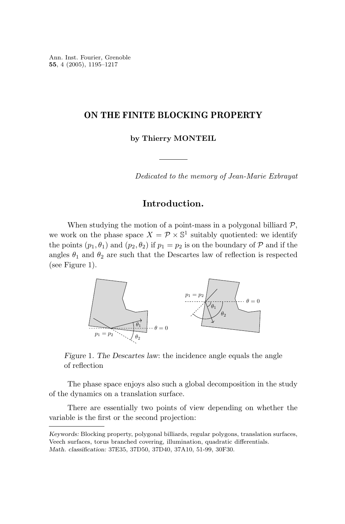Ann. Inst. Fourier, Grenoble **55**, 4 (2005), 1195–1217

# **ON THE FINITE BLOCKING PROPERTY**

**by Thierry MONTEIL**

Dedicated to the memory of Jean-Marie Exbrayat

# **Introduction.**

When studying the motion of a point-mass in a polygonal billiard  $P$ , we work on the phase space  $X = \mathcal{P} \times \mathbb{S}^1$  suitably quotiented: we identify the points  $(p_1, \theta_1)$  and  $(p_2, \theta_2)$  if  $p_1 = p_2$  is on the boundary of P and if the angles  $\theta_1$  and  $\theta_2$  are such that the Descartes law of reflection is respected (see Figure 1).



*Figure* 1*. The Descartes law*: the incidence angle equals the angle of reflection

The phase space enjoys also such a global decomposition in the study of the dynamics on a translation surface.

There are essentially two points of view depending on whether the variable is the first or the second projection:

*Keywords:* Blocking property, polygonal billiards, regular polygons, translation surfaces, Veech surfaces, torus branched covering, illumination, quadratic differentials. *Math. classification:* 37E35, 37D50, 37D40, 37A10, 51-99, 30F30.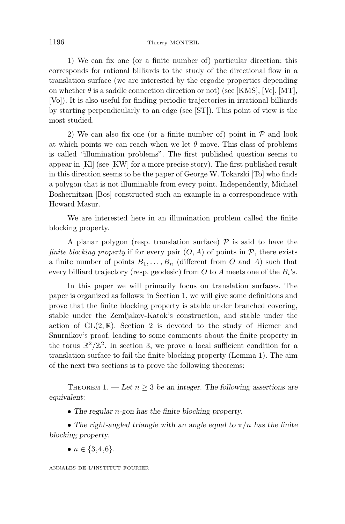1) We can fix one (or a finite number of) particular direction: this corresponds for rational billiards to the study of the directional flow in a translation surface (we are interested by the ergodic properties depending on whether  $\theta$  is a saddle connection direction or not) (see [KMS], [Ve], [MT], [Vo]). It is also useful for finding periodic trajectories in irrational billiards by starting perpendicularly to an edge (see [ST]). This point of view is the most studied.

2) We can also fix one (or a finite number of) point in  $P$  and look at which points we can reach when we let  $\theta$  move. This class of problems is called "illumination problems". The first published question seems to appear in [Kl] (see [KW] for a more precise story). The first published result in this direction seems to be the paper of George W. Tokarski [To] who finds a polygon that is not illuminable from every point. Independently, Michael Boshernitzan [Bos] constructed such an example in a correspondence with Howard Masur.

We are interested here in an illumination problem called the finite blocking property.

A planar polygon (resp. translation surface)  $\mathcal P$  is said to have the *finite blocking property* if for every pair  $(O, A)$  of points in  $P$ , there exists a finite number of points  $B_1, \ldots, B_n$  (different from *O* and *A*) such that every billiard trajectory (resp. geodesic) from *O* to *A* meets one of the *Bi*'s.

In this paper we will primarily focus on translation surfaces. The paper is organized as follows: in Section 1, we will give some definitions and prove that the finite blocking property is stable under branched covering, stable under the Zemljakov-Katok's construction, and stable under the action of  $GL(2,\mathbb{R})$ . Section 2 is devoted to the study of Hiemer and Snurnikov's proof, leading to some comments about the finite property in the torus  $\mathbb{R}^2/\mathbb{Z}^2$ . In section 3, we prove a local sufficient condition for a translation surface to fail the finite blocking property (Lemma 1). The aim of the next two sections is to prove the following theorems:

THEOREM 1. — Let  $n \geq 3$  be an integer. The following assertions are *equivalent*:

• *The regular n-gon has the finite blocking property.*

• The right-angled triangle with an angle equal to  $\pi/n$  has the finite *blocking property.*

•  $n \in \{3, 4, 6\}$ .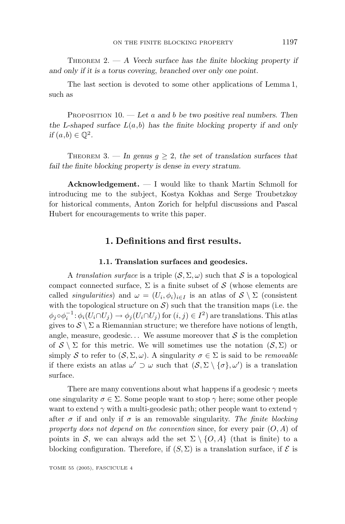THEOREM 2. — *A Veech surface has the finite blocking property if and only if it is a torus covering*, *branched over only one point.*

The last section is devoted to some other applications of Lemma 1, such as

PROPOSITION 10. — *Let a and b be two positive real numbers. Then* the L-shaped surface  $L(a,b)$  has the finite blocking property if and only *if*  $(a, b) \in \mathbb{Q}^2$ .

THEOREM 3. — In genus  $q > 2$ , the set of translation surfaces that *fail the finite blocking property is dense in every stratum.*

**Acknowledgement.** — I would like to thank Martin Schmoll for introducing me to the subject, Kostya Kokhas and Serge Troubetzkoy for historical comments, Anton Zorich for helpful discussions and Pascal Hubert for encouragements to write this paper.

## **1. Definitions and first results.**

## **1.1. Translation surfaces and geodesics.**

A translation surface is a triple  $(S, \Sigma, \omega)$  such that S is a topological compact connected surface,  $\Sigma$  is a finite subset of S (whose elements are called *singularities*) and  $\omega = (U_i, \phi_i)_{i \in I}$  is an atlas of  $S \setminus \Sigma$  (consistent with the topological structure on  $\mathcal{S}$ ) such that the transition maps (i.e. the  $\phi_j \circ \phi_i^{-1} : \phi_i(U_i \cap U_j) \to \phi_j(U_i \cap U_j)$  for  $(i, j) \in I^2$ ) are translations. This atlas gives to  $S \setminus \Sigma$  a Riemannian structure; we therefore have notions of length, angle, measure, geodesic... We assume moreover that  $S$  is the completion of  $S \setminus \Sigma$  for this metric. We will sometimes use the notation  $(S, \Sigma)$  or simply S to refer to  $(S, \Sigma, \omega)$ . A singularity  $\sigma \in \Sigma$  is said to be *removable* if there exists an atlas  $\omega' \supset \omega$  such that  $(S, \Sigma \setminus {\{\sigma\}, \omega'})$  is a translation surface.

There are many conventions about what happens if a geodesic  $\gamma$  meets one singularity  $\sigma \in \Sigma$ . Some people want to stop  $\gamma$  here; some other people want to extend *γ* with a multi-geodesic path; other people want to extend *γ* after  $\sigma$  if and only if  $\sigma$  is an removable singularity. The finite blocking property does not depend on the convention since, for every pair (*O, A*) of points in S, we can always add the set  $\Sigma \setminus \{O, A\}$  (that is finite) to a blocking configuration. Therefore, if  $(S, \Sigma)$  is a translation surface, if  $\mathcal E$  is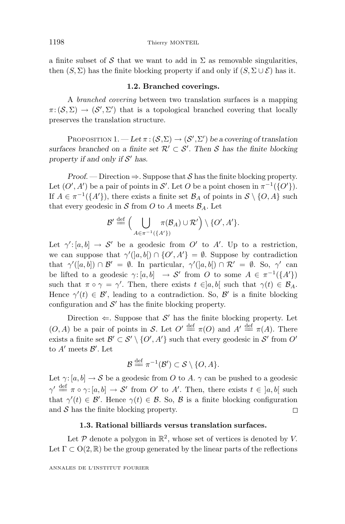a finite subset of S that we want to add in  $\Sigma$  as removable singularities, then  $(S, \Sigma)$  has the finite blocking property if and only if  $(S, \Sigma \cup \mathcal{E})$  has it.

#### **1.2. Branched coverings.**

A branched covering between two translation surfaces is a mapping  $\pi: (\mathcal{S}, \Sigma) \to (\mathcal{S}', \Sigma')$  that is a topological branched covering that locally preserves the translation structure.

PROPOSITION  $1.$  —  $\text{Let } \pi : (\mathcal{S}, \Sigma) \to (\mathcal{S}', \Sigma')$  be a covering of translation *surfaces branched on a finite set*  $\mathcal{R}' \subset \mathcal{S}'$ . Then S has the finite blocking *property if and only if*  $S'$  has.

*Proof.* — Direction  $\Rightarrow$ . Suppose that S has the finite blocking property. Let  $(O', A')$  be a pair of points in S'. Let O be a point chosen in  $\pi^{-1}(\{O'\})$ . If  $A \in \pi^{-1}(\{A'\})$ , there exists a finite set  $\mathcal{B}_A$  of points in  $\mathcal{S} \setminus \{O, A\}$  such that every geodesic in  $S$  from  $O$  to  $A$  meets  $\mathcal{B}_A$ . Let

$$
\mathcal{B}' \stackrel{\text{def}}{=} \Big( \bigcup_{A \in \pi^{-1}(\{A'\})} \pi(\mathcal{B}_A) \cup \mathcal{R}' \Big) \setminus \{O', A'\}.
$$

Let  $\gamma'$ : [a, b]  $\rightarrow$  S' be a geodesic from O' to A'. Up to a restriction, we can suppose that  $\gamma'([a, b]) \cap \{O', A'\} = \emptyset$ . Suppose by contradiction that  $\gamma'([a, b]) \cap \mathcal{B}' = \emptyset$ . In particular,  $\gamma'([a, b]) \cap \mathcal{R}' = \emptyset$ . So,  $\gamma'$  can be lifted to a geodesic  $\gamma: [a, b] \rightarrow S'$  from *O* to some  $A \in \pi^{-1}(\lbrace A' \rbrace)$ such that  $\pi \circ \gamma = \gamma'$ . Then, there exists  $t \in ]a, b[$  such that  $\gamma(t) \in \mathcal{B}_A$ . Hence  $\gamma'(t) \in \mathcal{B}'$ , leading to a contradiction. So,  $\mathcal{B}'$  is a finite blocking configuration and  $\mathcal{S}'$  has the finite blocking property.

Direction  $\Leftarrow$ . Suppose that S' has the finite blocking property. Let  $(0, A)$  be a pair of points in S. Let  $O' \stackrel{\text{def}}{=} \pi(O)$  and  $A' \stackrel{\text{def}}{=} \pi(A)$ . There exists a finite set  $\mathcal{B}' \subset \mathcal{S}' \setminus \{O', A'\}$  such that every geodesic in  $\mathcal{S}'$  from  $O'$ to  $A'$  meets  $B'$ . Let

$$
\mathcal{B} \stackrel{\text{def}}{=} \pi^{-1}(\mathcal{B}') \subset \mathcal{S} \setminus \{O, A\}.
$$

Let  $\gamma$ : [a, b]  $\rightarrow$  S be a geodesic from O to A.  $\gamma$  can be pushed to a geodesic  $\gamma' \stackrel{\text{def}}{=} \pi \circ \gamma$ :  $[a, b] \to \mathcal{S}'$  from *O'* to *A'*. Then, there exists  $t \in [a, b]$  such that  $\gamma'(t) \in \mathcal{B}'$ . Hence  $\gamma(t) \in \mathcal{B}$ . So,  $\mathcal{B}$  is a finite blocking configuration and  $S$  has the finite blocking property.  $\Box$ 

## **1.3. Rational billiards versus translation surfaces.**

Let  $P$  denote a polygon in  $\mathbb{R}^2$ , whose set of vertices is denoted by *V*. Let  $\Gamma \subset O(2,\mathbb{R})$  be the group generated by the linear parts of the reflections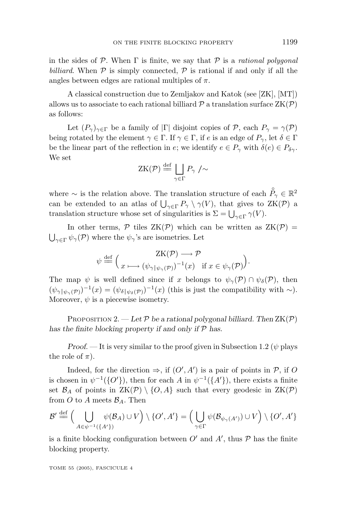in the sides of  $P$ . When  $\Gamma$  is finite, we say that  $P$  is a *rational polygonal* billiard. When  $\mathcal P$  is simply connected,  $\mathcal P$  is rational if and only if all the angles between edges are rational multiples of *π*.

A classical construction due to Zemljakov and Katok (see [ZK], [MT]) allows us to associate to each rational billiard  $\mathcal P$  a translation surface  $ZK(\mathcal P)$ as follows:

Let  $(P_\gamma)_{\gamma \in \Gamma}$  be a family of  $|\Gamma|$  disjoint copies of P, each  $P_\gamma = \gamma(\mathcal{P})$ being rotated by the element  $\gamma \in \Gamma$ . If  $\gamma \in \Gamma$ , if *e* is an edge of  $P_{\gamma}$ , let  $\delta \in \Gamma$ be the linear part of the reflection in *e*; we identify  $e \in P_\gamma$  with  $\delta(e) \in P_{\delta\gamma}$ . We set

$$
ZK(\mathcal{P}) \stackrel{\text{def}}{=} \bigsqcup_{\gamma \in \Gamma} P_{\gamma} / \sim
$$

where ∼ is the relation above. The translation structure of each  $\overset{\circ}{P}_{\gamma} \in \mathbb{R}^2$ can be extended to an atlas of  $\bigcup_{\gamma \in \Gamma} P_{\gamma} \setminus \gamma(V)$ , that gives to  $ZK(\mathcal{P})$  a translation structure whose set of singularities is  $\Sigma = \bigcup_{\gamma \in \Gamma} \gamma(V)$ .

In other terms,  $P$  tiles  $ZK(P)$  which can be written as  $ZK(P) =$  $\bigcup_{\gamma \in \Gamma} \psi_{\gamma}(\mathcal{P})$  where the  $\psi_{\gamma}$ 's are isometries. Let

$$
\psi \stackrel{\text{def}}{=} \Big(\n\underset{x \longmapsto (\psi_{\gamma|\psi_{\gamma}(\mathcal{P})})^{-1}(x)}{\operatorname{ZK}(\mathcal{P})^{-1}(x)} \text{ if } x \in \psi_{\gamma}(\mathcal{P})\n\Big).
$$

The map  $\psi$  is well defined since if *x* belongs to  $\psi_{\gamma}(\mathcal{P}) \cap \psi_{\delta}(\mathcal{P})$ , then  $(\psi_{\gamma|\psi_{\gamma}(\mathcal{P})})^{-1}(x)=(\psi_{\delta|\psi_{\delta}(\mathcal{P})})^{-1}(x)$  (this is just the compatibility with ~). Moreover,  $\psi$  is a piecewise isometry.

PROPOSITION 2. — Let  $P$  be a rational polygonal billiard. Then  $ZK(P)$ *has the finite blocking property if and only if* P *has.*

*Proof.* — It is very similar to the proof given in Subsection 1.2 ( $\psi$  plays the role of  $\pi$ ).

Indeed, for the direction  $\Rightarrow$ , if  $(O', A')$  is a pair of points in  $P$ , if *O* is chosen in  $\psi^{-1}(\{O'\})$ , then for each *A* in  $\psi^{-1}(\{A'\})$ , there exists a finite set  $\mathcal{B}_A$  of points in  $ZK(\mathcal{P}) \setminus \{O, A\}$  such that every geodesic in  $ZK(\mathcal{P})$ from O to A meets  $\mathcal{B}_A$ . Then

$$
\mathcal{B}' \stackrel{\text{def}}{=\!\!=} \Big(\bigcup_{A \in \psi^{-1}(\{A'\})} \psi(\mathcal{B}_A) \cup V\Big) \setminus \{O',A'\} = \Big(\bigcup_{\gamma \in \Gamma} \psi(\mathcal{B}_{\psi_{\gamma}(A')}) \cup V\Big) \setminus \{O',A'\}
$$

is a finite blocking configuration between  $O'$  and  $A'$ , thus  $P$  has the finite blocking property.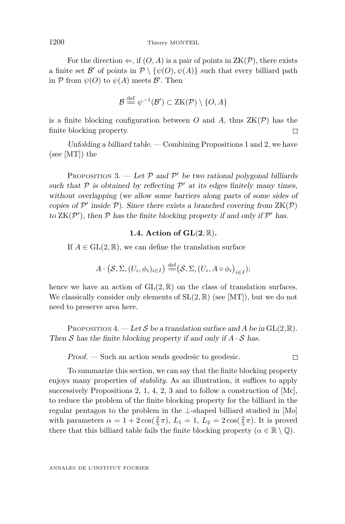For the direction  $\Leftarrow$ , if  $(O, A)$  is a pair of points in  $ZK(\mathcal{P})$ , there exists a finite set  $\mathcal{B}'$  of points in  $\mathcal{P}\setminus\{\psi(O), \psi(A)\}\$  such that every billiard path in  $P$  from  $\psi(O)$  to  $\psi(A)$  meets  $\mathcal{B}'$ . Then

$$
\mathcal{B} \stackrel{\text{def}}{=} \psi^{-1}(\mathcal{B}') \subset \text{ZK}(\mathcal{P}) \setminus \{O, A\}
$$

is a finite blocking configuration between *O* and *A*, thus  $ZK(\mathcal{P})$  has the finite blocking property.  $\Box$ 

*Unfolding a billiard table.* — Combining Propositions 1 and 2, we have (see [MT]) the

PROPOSITION 3.  $-$  *Let*  $\mathcal{P}$  *and*  $\mathcal{P}'$  *be two rational polygonal billiards* such that  $P$  is obtained by reflecting  $P'$  at its edges finitely many times, *without overlapping* (*we allow some barriers along parts of some sides of copies of*  $\mathcal{P}'$  *inside*  $\mathcal{P}$ *). Since there exists a branched covering from*  $ZK(\mathcal{P})$ *to*  $ZK(\mathcal{P}')$ , *then*  $\mathcal P$  *has the finite blocking property if and only if*  $\mathcal P'$  *has.* 

#### **1.4. Action of GL**(**2***,* R)**.**

If  $A \in GL(2, \mathbb{R})$ , we can define the translation surface

$$
A \cdot (\mathcal{S}, \Sigma, (U_i, \phi_i)_{i \in I}) \stackrel{\text{def}}{=} (\mathcal{S}, \Sigma, (U_i, A \circ \phi_i)_{i \in I});
$$

hence we have an action of  $GL(2,\mathbb{R})$  on the class of translation surfaces. We classically consider only elements of  $SL(2,\mathbb{R})$  (see [MT]), but we do not need to preserve area here.

PROPOSITION 4.  $-Let S$  *be a translation surface and A be in*  $GL(2,\mathbb{R})$ *. Then*  $S$  *has the finite blocking property if and only if*  $A \cdot S$  *has.* 

*Proof.* — Such an action sends geodesic to geodesic.

 $\Box$ 

To summarize this section, we can say that the finite blocking property enjoys many properties of stability. As an illustration, it suffices to apply successively Propositions 2, 1, 4, 2, 3 and to follow a construction of [Mc], to reduce the problem of the finite blocking property for the billiard in the regular pentagon to the problem in the ⊥-shaped billiard studied in [Mo] with parameters  $\alpha = 1 + 2\cos(\frac{2}{5}\pi)$ ,  $L_1 = 1$ ,  $L_2 = 2\cos(\frac{2}{5}\pi)$ . It is proved there that this billiard table fails the finite blocking property ( $\alpha \in \mathbb{R} \setminus \mathbb{Q}$ ).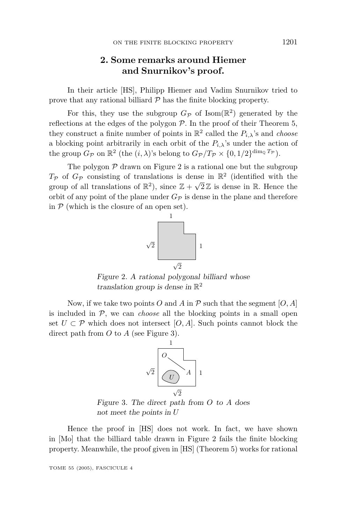# **2. Some remarks around Hiemer and Snurnikov's proof.**

In their article [HS], Philipp Hiemer and Vadim Snurnikov tried to prove that any rational billiard  $P$  has the finite blocking property.

For this, they use the subgroup  $G_{\mathcal{P}}$  of Isom( $\mathbb{R}^2$ ) generated by the reflections at the edges of the polygon  $P$ . In the proof of their Theorem 5, they construct a finite number of points in  $\mathbb{R}^2$  called the  $P_i$ , *\choose* a blocking point arbitrarily in each orbit of the  $P_{i,\lambda}$ 's under the action of the group  $G_{\mathcal{P}}$  on  $\mathbb{R}^2$  (the  $(i, \lambda)$ 's belong to  $G_{\mathcal{P}}/T_{\mathcal{P}} \times \{0, 1/2\}^{\dim_{\mathbb{Q}} T_{\mathcal{P}}}$ ).

The polygon  $P$  drawn on Figure 2 is a rational one but the subgroup  $T_P$  of  $G_P$  consisting of translations is dense in  $\mathbb{R}^2$  (identified with the group of all translations of  $\mathbb{R}^2$ ), since  $\mathbb{Z} + \sqrt{2}\mathbb{Z}$  is dense in R. Hence the orbit of any point of the plane under  $G_{\mathcal{P}}$  is dense in the plane and therefore in  $P$  (which is the closure of an open set).



*Figure* 2*. A rational polygonal billiard whose translation group is dense in* R<sup>2</sup>

Now, if we take two points O and A in  $P$  such that the segment  $[O, A]$ is included in  $P$ , we can *choose* all the blocking points in a small open set  $U \subset \mathcal{P}$  which does not intersect  $[O, A]$ . Such points cannot block the direct path from *O* to *A* (see Figure 3).



*Figure* 3*. The direct path from O to A does not meet the points in U*

Hence the proof in [HS] does not work. In fact, we have shown in [Mo] that the billiard table drawn in Figure 2 fails the finite blocking property. Meanwhile, the proof given in [HS] (Theorem 5) works for rational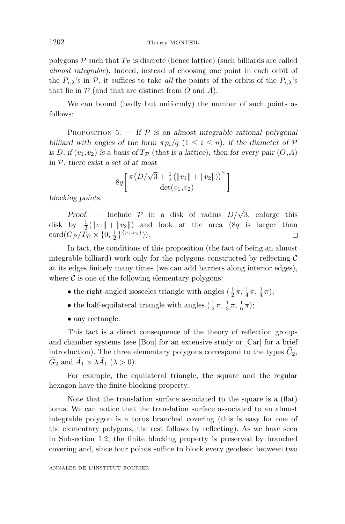polygons  $P$  such that  $T_P$  is discrete (hence lattice) (such billiards are called almost integrable). Indeed, instead of choosing one point in each orbit of the  $P_{i,\lambda}$ 's in  $\mathcal{P}$ , it suffices to take all the points of the orbits of the  $P_{i,\lambda}$ 's that lie in  $P$  (and that are distinct from  $O$  and  $A$ ).

We can bound (badly but uniformly) the number of such points as follows:

PROPOSITION  $5.$  – If  $P$  is an almost integrable rational polygonal *billiard with angles of the form*  $\pi p_i/q$  ( $1 \leq i \leq n$ ), *if the diameter of*  $P$ *is D*, *if* ( $v_1, v_2$ ) *is a basis of*  $T_P$  (*that is a lattice*), *then for every pair* ( $O$ ,  $A$ ) *in* P, *there exist a set of at most*

$$
8q\left[\frac{\pi(D/\sqrt{3}+\frac{1}{2}(\|v_1\|+\|v_2\|))^{2}}{\det(v_1,v_2)}\right]
$$

*blocking points.*

*Proof.* — Include  $\mathcal{P}$  in a disk of radius  $D/\sqrt{3}$ , enlarge this disk by  $\frac{1}{2}(\|v_1\| + \|v_2\|)$  and look at the area  $(8q \text{ is larger than})$ card $(G_{\mathcal{P}}/T_{\mathcal{P}} \times \{0, \frac{1}{2}\}^{\{v_1, v_2\}})).$  $\Box$ 

In fact, the conditions of this proposition (the fact of being an almost integrable billiard) work only for the polygons constructed by reflecting  $\mathcal C$ at its edges finitely many times (we can add barriers along interior edges), where  $\mathcal C$  is one of the following elementary polygons:

- the right-angled isosceles triangle with angles  $(\frac{1}{2}\pi, \frac{1}{4}\pi, \frac{1}{4}\pi)$ ;
- the half-equilateral triangle with angles  $(\frac{1}{2}\pi, \frac{1}{3}\pi, \frac{1}{6}\pi)$ ;
- any rectangle.

This fact is a direct consequence of the theory of reflection groups and chamber systems (see [Bou] for an extensive study or [Car] for a brief introduction). The three elementary polygons correspond to the types  $C_2$ ,  $\widetilde{G}_2$  and  $\widetilde{A}_1 \times \lambda \widetilde{A}_1$  ( $\lambda > 0$ ).

For example, the equilateral triangle, the square and the regular hexagon have the finite blocking property.

Note that the translation surface associated to the square is a (flat) torus. We can notice that the translation surface associated to an almost integrable polygon is a torus branched covering (this is easy for one of the elementary polygons, the rest follows by reflecting). As we have seen in Subsection 1.2, the finite blocking property is preserved by branched covering and, since four points suffice to block every geodesic between two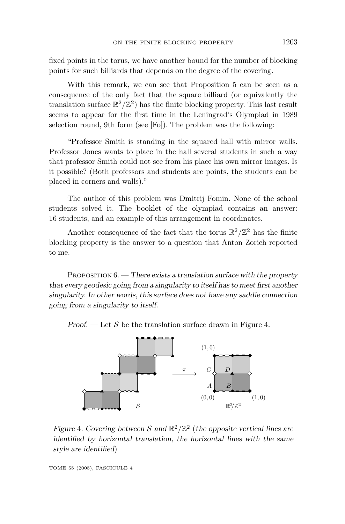fixed points in the torus, we have another bound for the number of blocking points for such billiards that depends on the degree of the covering.

With this remark, we can see that Proposition 5 can be seen as a consequence of the only fact that the square billiard (or equivalently the translation surface  $\mathbb{R}^2/\mathbb{Z}^2)$  has the finite blocking property. This last result seems to appear for the first time in the Leningrad's Olympiad in 1989 selection round, 9th form (see [Fo]). The problem was the following:

"Professor Smith is standing in the squared hall with mirror walls. Professor Jones wants to place in the hall several students in such a way that professor Smith could not see from his place his own mirror images. Is it possible? (Both professors and students are points, the students can be placed in corners and walls)."

The author of this problem was Dmitrij Fomin. None of the school students solved it. The booklet of the olympiad contains an answer: 16 students, and an example of this arrangement in coordinates.

Another consequence of the fact that the torus  $\mathbb{R}^2/\mathbb{Z}^2$  has the finite blocking property is the answer to a question that Anton Zorich reported to me.

PROPOSITION 6. — *There exists a translation surface with the property that every geodesic going from a singularity to itself has to meet first another singularity. In other words*, *this surface does not have any saddle connection going from a singularity to itself.*



*Proof.* — Let  $S$  be the translation surface drawn in Figure 4.

*Figure* 4*. Covering between* S and  $\mathbb{R}^2/\mathbb{Z}^2$  (*the opposite vertical lines are identified by horizontal translation, the horizontal lines with the same style are identified*)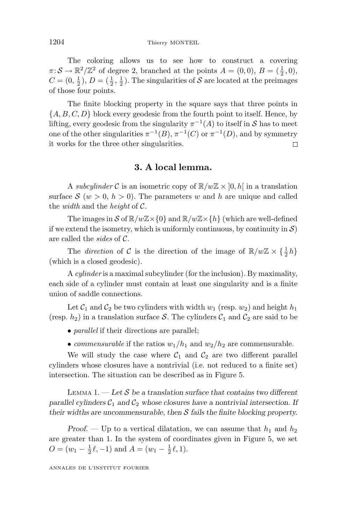The coloring allows us to see how to construct a covering  $\pi: \mathcal{S} \to \mathbb{R}^2/\mathbb{Z}^2$  of degree 2, branched at the points  $A = (0,0), B = (\frac{1}{2},0),$  $C = (0, \frac{1}{2}), D = (\frac{1}{2}, \frac{1}{2})$ . The singularities of S are located at the preimages of those four points.

The finite blocking property in the square says that three points in  ${A, B, C, D}$  block every geodesic from the fourth point to itself. Hence, by lifting, every geodesic from the singularity  $\pi^{-1}(A)$  to itself in S has to meet one of the other singularities  $\pi^{-1}(B)$ ,  $\pi^{-1}(C)$  or  $\pi^{-1}(D)$ , and by symmetry it works for the three other singularities.  $\Box$ 

# **3. A local lemma.**

A subcylinder C is an isometric copy of  $\mathbb{R}/w\mathbb{Z} \times [0,h]$  in a translation surface  $S(w > 0, h > 0)$ . The parameters w and h are unique and called the *width* and the *height* of  $C$ .

The images in  $S$  of  $\mathbb{R}/w\mathbb{Z}\times\{0\}$  and  $\mathbb{R}/w\mathbb{Z}\times\{h\}$  (which are well-defined if we extend the isometry, which is uniformly continuous, by continuity in  $S$ ) are called the sides of C.

The *direction* of C is the direction of the image of  $\mathbb{R}/w\mathbb{Z} \times {\frac{1}{2}h}$ (which is a closed geodesic).

A cylinder is a maximal subcylinder (for the inclusion). By maximality, each side of a cylinder must contain at least one singularity and is a finite union of saddle connections.

Let  $C_1$  and  $C_2$  be two cylinders with width  $w_1$  (resp.  $w_2$ ) and height  $h_1$ (resp.  $h_2$ ) in a translation surface S. The cylinders  $C_1$  and  $C_2$  are said to be

- *parallel* if their directions are parallel;
- *commensurable* if the ratios  $w_1/h_1$  and  $w_2/h_2$  are commensurable.

We will study the case where  $C_1$  and  $C_2$  are two different parallel cylinders whose closures have a nontrivial (i.e. not reduced to a finite set) intersection. The situation can be described as in Figure 5.

LEMMA 1.  $-$  *Let*  $S$  *be a translation surface that contains two different parallel cylinders*  $C_1$  *and*  $C_2$  *whose closures have a nontrivial intersection. If their widths are uncommensurable*, *then* S *fails the finite blocking property.*

*Proof.* — Up to a vertical dilatation, we can assume that  $h_1$  and  $h_2$ are greater than 1. In the system of coordinates given in Figure 5, we set  $O = (w_1 - \frac{1}{2}\ell, -1)$  and  $A = (w_1 - \frac{1}{2}\ell, 1)$ .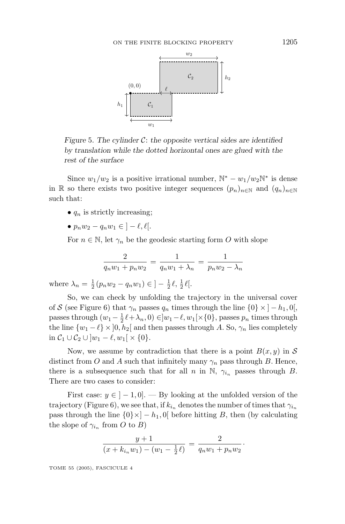

*Figure* 5*. The cylinder* C: *the opposite vertical sides are identified by translation while the dotted horizontal ones are glued with the rest of the surface*

Since  $w_1/w_2$  is a positive irrational number,  $\mathbb{N}^* - w_1/w_2\mathbb{N}^*$  is dense in R so there exists two positive integer sequences  $(p_n)_{n\in\mathbb{N}}$  and  $(q_n)_{n\in\mathbb{N}}$ such that:

- $q_n$  is strictly increasing;
- $p_n w_2 q_n w_1 \in ]-\ell, \ell|.$

For  $n \in \mathbb{N}$ , let  $\gamma_n$  be the geodesic starting form O with slope

$$
\frac{2}{q_n w_1 + p_n w_2} = \frac{1}{q_n w_1 + \lambda_n} = \frac{1}{p_n w_2 - \lambda_n}
$$

where  $\lambda_n = \frac{1}{2} (p_n w_2 - q_n w_1) \in \left] - \frac{1}{2} \ell, \frac{1}{2} \ell \right[$ .

So, we can check by unfolding the trajectory in the universal cover of S (see Figure 6) that  $\gamma_n$  passes  $q_n$  times through the line  $\{0\} \times [-h_1, 0],$ passes through  $(w_1 - \frac{1}{2}\ell + \lambda_n, 0) \in ]w_1 - \ell, w_1[\times \{0\}, \text{passes } p_n \text{ times through}]$ the line  $\{w_1 - \ell\} \times ]0, h_2[$  and then passes through *A*. So,  $\gamma_n$  lies completely in  $\mathcal{C}_1 \cup \mathcal{C}_2 \cup \left| w_1 - \ell, w_1 \right| \times \{0\}.$ 

Now, we assume by contradiction that there is a point  $B(x, y)$  in S distinct from *O* and *A* such that infinitely many  $\gamma_n$  pass through *B*. Hence, there is a subsequence such that for all *n* in N,  $\gamma_{i_n}$  passes through *B*. There are two cases to consider:

First case:  $y \in ]-1,0]$ . — By looking at the unfolded version of the trajectory (Figure 6), we see that, if  $k_{i_n}$  denotes the number of times that  $\gamma_{i_n}$ pass through the line  $\{0\} \times ] - h_1, 0[$  before hitting *B*, then (by calculating the slope of  $\gamma_{i_n}$  from *O* to *B*)

$$
\frac{y+1}{(x+k_{i_n}w_1)-(w_1-\frac{1}{2}\ell)}=\frac{2}{q_nw_1+p_nw_2}.
$$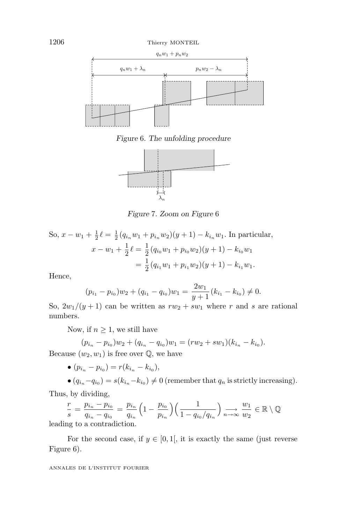

*Figure* 6*. The unfolding procedure*



*Figure* 7*. Zoom on Figure* 6

So, 
$$
x - w_1 + \frac{1}{2} \ell = \frac{1}{2} (q_{i_n} w_1 + p_{i_n} w_2)(y+1) - k_{i_n} w_1
$$
. In particular,  
\n
$$
x - w_1 + \frac{1}{2} \ell = \frac{1}{2} (q_{i_0} w_1 + p_{i_0} w_2)(y+1) - k_{i_0} w_1
$$
\n
$$
= \frac{1}{2} (q_{i_1} w_1 + p_{i_1} w_2)(y+1) - k_{i_1} w_1.
$$

Hence,

$$
(p_{i_1} - p_{i_0})w_2 + (q_{i_1} - q_{i_0})w_1 = \frac{2w_1}{y+1}(k_{i_1} - k_{i_0}) \neq 0.
$$

So,  $2w_1/(y+1)$  can be written as  $rw_2 + sw_1$  where *r* and *s* are rational numbers.

Now, if  $n \geq 1$ , we still have

$$
(p_{i_n} - p_{i_0})w_2 + (q_{i_n} - q_{i_0})w_1 = (rw_2 + sw_1)(k_{i_n} - k_{i_0}).
$$
  
Because  $(w_2, w_1)$  is free over Q, we have

•  $(p_{i_n} - p_{i_0}) = r(k_{i_n} - k_{i_0}),$ 

 $\bullet$  ( $q_{i_n} - q_{i_0}$ ) =  $s(k_{i_n} - k_{i_0}) \neq 0$  (remember that  $q_n$  is strictly increasing). Thus, by dividing,

$$
\frac{r}{s} = \frac{p_{i_n} - p_{i_0}}{q_{i_n} - q_{i_0}} = \frac{p_{i_n}}{q_{i_n}} \left(1 - \frac{p_{i_0}}{p_{i_n}}\right) \left(\frac{1}{1 - q_{i_0}/q_{i_n}}\right) \underset{n \to \infty}{\longrightarrow} \frac{w_1}{w_2} \in \mathbb{R} \setminus \mathbb{Q}
$$
 leading to a contradiction.

For the second case, if  $y \in [0,1]$ , it is exactly the same (just reverse Figure 6).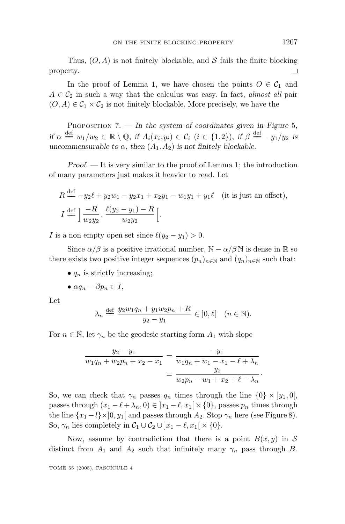Thus,  $(O, A)$  is not finitely blockable, and S fails the finite blocking  $\Box$ property.

In the proof of Lemma 1, we have chosen the points  $O \in \mathcal{C}_1$  and  $A \in \mathcal{C}_2$  in such a way that the calculus was easy. In fact, almost all pair  $(O, A) \in C_1 \times C_2$  is not finitely blockable. More precisely, we have the

PROPOSITION 7. — *In the system of coordinates given in Figure* 5,  $if \alpha \stackrel{\text{def}}{=} w_1/w_2 \in \mathbb{R} \setminus \mathbb{Q}, \text{ if } A_i(x_i, y_i) \in \mathcal{C}_i \ (i \in \{1,2\}), \text{ if } \beta \stackrel{\text{def}}{=} -y_1/y_2 \text{ is }$ *uncommensurable to*  $\alpha$ , *then*  $(A_1, A_2)$  *is not finitely blockable.* 

*Proof*. — It is very similar to the proof of Lemma 1; the introduction of many parameters just makes it heavier to read. Let

$$
R \stackrel{\text{def}}{=} -y_2\ell + y_2w_1 - y_2x_1 + x_2y_1 - w_1y_1 + y_1\ell \quad \text{(it is just an offset)},
$$
  

$$
I \stackrel{\text{def}}{=} \left] \frac{-R}{w_2y_2}, \frac{\ell(y_2 - y_1) - R}{w_2y_2} \right[.
$$

*I* is a non empty open set since  $\ell(y_2 - y_1) > 0$ .

Since  $\alpha/\beta$  is a positive irrational number,  $\mathbb{N} - \alpha/\beta \mathbb{N}$  is dense in  $\mathbb R$  so there exists two positive integer sequences  $(p_n)_{n \in \mathbb{N}}$  and  $(q_n)_{n \in \mathbb{N}}$  such that:

 $\bullet$   $q_n$  is strictly increasing;

$$
\bullet \ \alpha q_n - \beta p_n \in I,
$$

Let

$$
\lambda_n \stackrel{\text{def}}{=} \frac{y_2 w_1 q_n + y_1 w_2 p_n + R}{y_2 - y_1} \in ]0, \ell[ \quad (n \in \mathbb{N}).
$$

For  $n \in \mathbb{N}$ , let  $\gamma_n$  be the geodesic starting form  $A_1$  with slope

$$
\frac{y_2 - y_1}{w_1 q_n + w_2 p_n + x_2 - x_1} = \frac{-y_1}{w_1 q_n + w_1 - x_1 - \ell + \lambda_n} = \frac{y_2}{w_2 p_n - w_1 + x_2 + \ell - \lambda_n}.
$$

So, we can check that  $\gamma_n$  passes  $q_n$  times through the line  $\{0\} \times |y_1,0|$ , passes through  $(x_1 - \ell + \lambda_n, 0) \in ]x_1 - \ell, x_1[ \times \{0\}, \text{passes } p_n \text{ times through}]$ the line  $\{x_1 - l\} \times ]0, y_1[$  and passes through  $A_2$ . Stop  $\gamma_n$  here (see Figure 8). So,  $\gamma_n$  lies completely in  $\mathcal{C}_1 \cup \mathcal{C}_2 \cup [x_1 - \ell, x_1] \times \{0\}.$ 

Now, assume by contradiction that there is a point  $B(x, y)$  in S distinct from  $A_1$  and  $A_2$  such that infinitely many  $\gamma_n$  pass through *B*.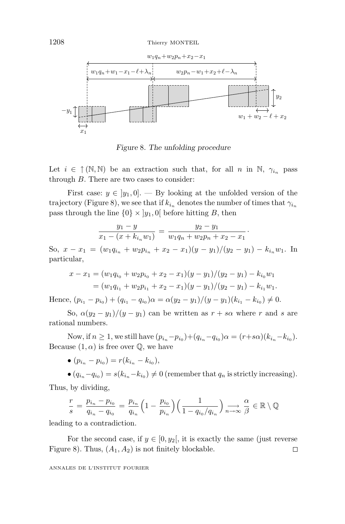

*Figure* 8*. The unfolding procedure*

Let  $i \in \uparrow (\mathbb{N}, \mathbb{N})$  be an extraction such that, for all *n* in N,  $\gamma_{i_n}$  pass through *B*. There are two cases to consider:

First case:  $y \in [y_1, 0]$ . — By looking at the unfolded version of the trajectory (Figure 8), we see that if  $k_{i_n}$  denotes the number of times that  $\gamma_{i_n}$ pass through the line  $\{0\} \times |y_1,0|$  before hitting *B*, then

$$
\frac{y_1 - y}{x_1 - (x + k_{i_n}w_1)} = \frac{y_2 - y_1}{w_1q_n + w_2p_n + x_2 - x_1}.
$$

So,  $x - x_1 = (w_1 q_{i_n} + w_2 p_{i_n} + x_2 - x_1)(y - y_1)/(y_2 - y_1) - k_{i_n} w_1$ . In particular,

$$
x - x_1 = (w_1 q_{i_0} + w_2 p_{i_0} + x_2 - x_1)(y - y_1)/(y_2 - y_1) - k_{i_0}w_1
$$
  
=  $(w_1 q_{i_1} + w_2 p_{i_1} + x_2 - x_1)(y - y_1)/(y_2 - y_1) - k_{i_1}w_1.$ 

Hence,  $(p_{i_1} - p_{i_0}) + (q_{i_1} - q_{i_0})\alpha = \alpha(y_2 - y_1)/(y - y_1)(k_{i_1} - k_{i_0}) \neq 0.$ 

So,  $\alpha(y_2 - y_1)/(y - y_1)$  can be written as  $r + s\alpha$  where r and s are rational numbers.

Now, if  $n \ge 1$ , we still have  $(p_{i_n} - p_{i_0}) + (q_{i_n} - q_{i_0})\alpha = (r + s\alpha)(k_{i_n} - k_{i_0}).$ Because  $(1, \alpha)$  is free over  $\mathbb{Q}$ , we have

$$
\bullet (p_{i_n} - p_{i_0}) = r(k_{i_n} - k_{i_0}),
$$

 $\bullet$   $(q_{i_n} - q_{i_0}) = s(k_{i_n} - k_{i_0}) \neq 0$  (remember that  $q_n$  is strictly increasing). Thus, by dividing,

$$
\frac{r}{s} = \frac{p_{i_n} - p_{i_0}}{q_{i_n} - q_{i_0}} = \frac{p_{i_n}}{q_{i_n}} \left(1 - \frac{p_{i_0}}{p_{i_n}}\right) \left(\frac{1}{1 - q_{i_0}/q_{i_n}}\right) \underset{n \to \infty}{\longrightarrow} \frac{\alpha}{\beta} \in \mathbb{R} \setminus \mathbb{Q}
$$

leading to a contradiction.

For the second case, if  $y \in [0, y_2]$ , it is exactly the same (just reverse Figure 8). Thus,  $(A_1, A_2)$  is not finitely blockable.  $\Box$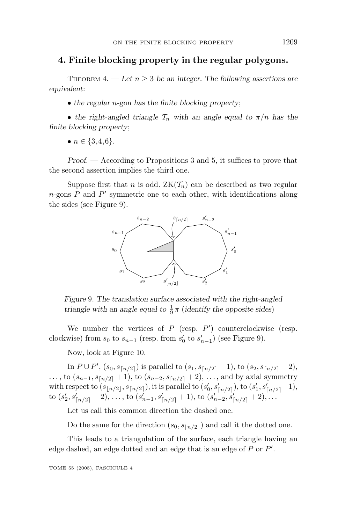#### **4. Finite blocking property in the regular polygons.**

THEOREM 4. — Let  $n \geq 3$  be an integer. The following assertions are *equivalent*:

• *the regular n-gon has the finite blocking property*;

• the right-angled triangle  $\mathcal{T}_n$  with an angle equal to  $\pi/n$  has the *finite blocking property*;

•  $n \in \{3, 4, 6\}.$ 

*Proof*. — According to Propositions 3 and 5, it suffices to prove that the second assertion implies the third one.

Suppose first that *n* is odd.  $ZK(\mathcal{T}_n)$  can be described as two regular *n*-gons  $P$  and  $P'$  symmetric one to each other, with identifications along the sides (see Figure 9).



*Figure* 9*. The translation surface associated with the right-angled triangle with an angle equal to*  $\frac{1}{9}\pi$  (*identify the opposite sides*)

We number the vertices of  $P$  (resp.  $P'$ ) counterclockwise (resp. clockwise) from  $s_0$  to  $s_{n-1}$  (resp. from  $s'_0$  to  $s'_{n-1}$ ) (see Figure 9).

Now, look at Figure 10.

In  $P \cup P'$ ,  $(s_0, s_{\lceil n/2 \rceil})$  is parallel to  $(s_1, s_{\lceil n/2 \rceil} - 1)$ , to  $(s_2, s_{\lceil n/2 \rceil} - 2)$ , *...*, to  $(s_{n-1}, s_{\lceil n/2 \rceil} + 1)$ , to  $(s_{n-2}, s_{\lceil n/2 \rceil} + 2)$ , ..., and by axial symmetry with respect to  $(s_{\lfloor n/2 \rfloor}, s_{\lceil n/2 \rceil})$ , it is parallel to  $(s'_0, s'_{\lceil n/2 \rceil})$ , to  $(s'_1, s'_{\lceil n/2 \rceil} - 1)$ , to  $(s'_2, s'_{\lceil n/2 \rceil} - 2), \ldots$ , to  $(s'_{n-1}, s'_{\lceil n/2 \rceil} + 1)$ , to  $(s'_{n-2}, s'_{\lceil n/2 \rceil} + 2), \ldots$ 

Let us call this common direction the dashed one.

Do the same for the direction  $(s_0, s_{n/2})$  and call it the dotted one.

This leads to a triangulation of the surface, each triangle having an edge dashed, an edge dotted and an edge that is an edge of *P* or *P* .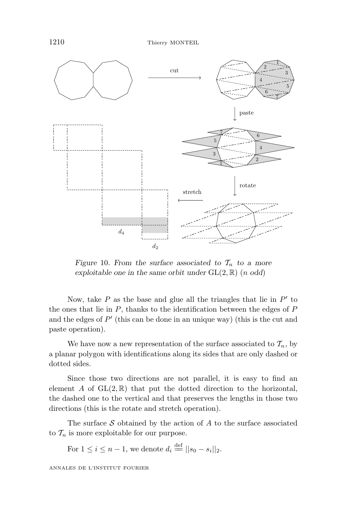

*Figure* 10*. From the surface associated to*  $\mathcal{T}_n$  *to a more exploitable one in the same orbit under*  $GL(2,\mathbb{R})$  (*n odd*)

Now, take  $P$  as the base and glue all the triangles that lie in  $P'$  to the ones that lie in *P*, thanks to the identification between the edges of *P* and the edges of  $P'$  (this can be done in an unique way) (this is the cut and paste operation).

We have now a new representation of the surface associated to  $\mathcal{T}_n$ , by a planar polygon with identifications along its sides that are only dashed or dotted sides.

Since those two directions are not parallel, it is easy to find an element *A* of  $GL(2,\mathbb{R})$  that put the dotted direction to the horizontal, the dashed one to the vertical and that preserves the lengths in those two directions (this is the rotate and stretch operation).

The surface  $S$  obtained by the action of  $A$  to the surface associated to  $\mathcal{T}_n$  is more exploitable for our purpose.

For  $1 \leq i \leq n-1$ , we denote  $d_i \stackrel{\text{def}}{=} ||s_0 - s_i||_2$ .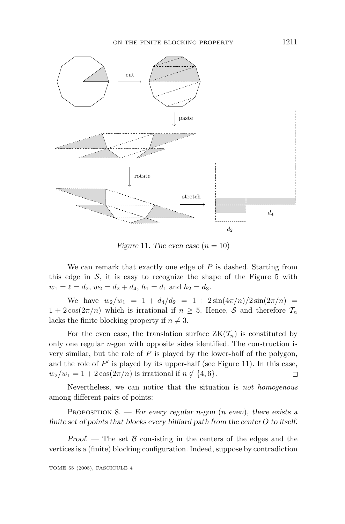

*Figure* 11*. The even case*  $(n = 10)$ 

We can remark that exactly one edge of *P* is dashed. Starting from this edge in  $S$ , it is easy to recognize the shape of the Figure 5 with  $w_1 = \ell = d_2, w_2 = d_2 + d_4, h_1 = d_1$  and  $h_2 = d_3$ .

We have  $w_2/w_1 = 1 + d_4/d_2 = 1 + 2\sin(4\pi/n)/2\sin(2\pi/n)$  $1 + 2\cos(2\pi/n)$  which is irrational if  $n \geq 5$ . Hence, S and therefore  $\mathcal{T}_n$ lacks the finite blocking property if  $n \neq 3$ .

For the even case, the translation surface  $ZK(\mathcal{T}_n)$  is constituted by only one regular *n*-gon with opposite sides identified. The construction is very similar, but the role of *P* is played by the lower-half of the polygon, and the role of  $P'$  is played by its upper-half (see Figure 11). In this case,  $w_2/w_1 = 1 + 2\cos(2\pi/n)$  is irrational if  $n \notin \{4, 6\}.$  $\Box$ 

Nevertheless, we can notice that the situation is not homogenous among different pairs of points:

PROPOSITION 8. — *For every regular n-gon* (*n even*), *there exists a finite set of points that blocks every billiard path from the center O to itself.*

*Proof.* — The set  $\beta$  consisting in the centers of the edges and the vertices is a (finite) blocking configuration. Indeed, suppose by contradiction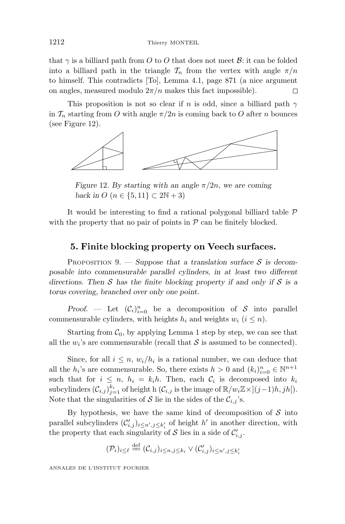that  $\gamma$  is a billiard path from O to O that does not meet B: it can be folded into a billiard path in the triangle  $\mathcal{T}_n$  from the vertex with angle  $\pi/n$ to himself. This contradicts [To], Lemma 4.1, page 871 (a nice argument on angles, measured modulo  $2\pi/n$  makes this fact impossible). П

This proposition is not so clear if *n* is odd, since a billiard path *γ* in  $\mathcal{T}_n$  starting from *O* with angle  $\pi/2n$  is coming back to *O* after *n* bounces (see Figure 12).



*Figure* 12*. By starting with an angle*  $\pi/2n$ *, we are coming back in*  $O(n \in \{5, 11\} \subset 2N + 3)$ 

It would be interesting to find a rational polygonal billiard table  $\mathcal P$ with the property that no pair of points in  $P$  can be finitely blocked.

# **5. Finite blocking property on Veech surfaces.**

PROPOSITION 9.  $-$  *Suppose that a translation surface S is decomposable into commensurable parallel cylinders*, *in at least two different directions. Then* S *has the finite blocking property if and only if* S *is a torus covering*, *branched over only one point.*

*Proof.* — Let  $(C_i)_{i=0}^n$  be a decomposition of S into parallel commensurable cylinders, with heights  $h_i$  and weights  $w_i$  ( $i \leq n$ ).

Starting from  $C_0$ , by applying Lemma 1 step by step, we can see that all the  $w_i$ 's are commensurable (recall that  $S$  is assumed to be connected).

Since, for all  $i \leq n$ ,  $w_i/h_i$  is a rational number, we can deduce that all the  $h_i$ 's are commensurable. So, there exists  $h > 0$  and  $(k_i)_{i=0}^n \in \mathbb{N}^{n+1}$ such that for  $i \leq n$ ,  $h_i = k_i h$ . Then, each  $C_i$  is decomposed into  $k_i$  $\text{subcylinders } (\mathcal{C}_{i,j})_{j=1}^{k_i}$  of height h  $(\mathcal{C}_{i,j}$  is the image of  $\mathbb{R}/w_i\mathbb{Z}\times j(j-1)h, jh$ . Note that the singularities of S lie in the sides of the  $\mathcal{C}_{i,j}$ 's.

By hypothesis, we have the same kind of decomposition of  $\mathcal S$  into parallel subcylinders  $(C'_{i,j})_{i \leq n', j \leq k'_{i}}$  of height  $h'$  in another direction, with the property that each singularity of  $S$  lies in a side of  $\mathcal{C}'_{i,j}$ .

$$
(\mathcal{P}_i)_{i \leq \ell} \stackrel{\text{def}}{=} (\mathcal{C}_{i,j})_{i \leq n, j \leq k_i} \vee (\mathcal{C}'_{i,j})_{i \leq n', j \leq k'_i}
$$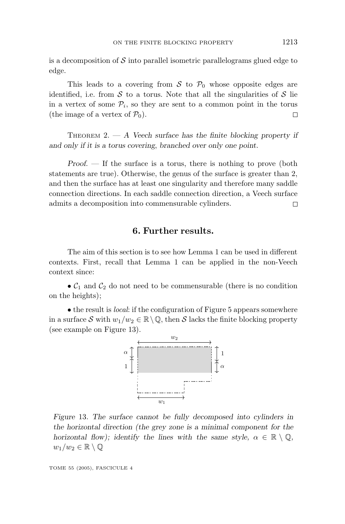is a decomposition of  $\mathcal S$  into parallel isometric parallelograms glued edge to edge.

This leads to a covering from S to  $P_0$  whose opposite edges are identified, i.e. from  $S$  to a torus. Note that all the singularities of  $S$  lie in a vertex of some  $P_i$ , so they are sent to a common point in the torus (the image of a vertex of  $P_0$ ). □

THEOREM 2. — *A Veech surface has the finite blocking property if and only if it is a torus covering*, *branched over only one point.*

*Proof*. — If the surface is a torus, there is nothing to prove (both statements are true). Otherwise, the genus of the surface is greater than 2, and then the surface has at least one singularity and therefore many saddle connection directions. In each saddle connection direction, a Veech surface admits a decomposition into commensurable cylinders.  $\Box$ 

# **6. Further results.**

The aim of this section is to see how Lemma 1 can be used in different contexts. First, recall that Lemma 1 can be applied in the non-Veech context since:

 $\bullet$   $\mathcal{C}_1$  and  $\mathcal{C}_2$  do not need to be commensurable (there is no condition on the heights);

• the result is local: if the configuration of Figure 5 appears somewhere in a surface S with  $w_1/w_2 \in \mathbb{R} \setminus \mathbb{Q}$ , then S lacks the finite blocking property (see example on Figure 13).



*Figure* 13*. The surface cannot be fully decomposed into cylinders in the horizontal direction (the grey zone is a minimal component for the horizontal flow); identify the lines with the same style,*  $\alpha \in \mathbb{R} \setminus \mathbb{Q}$ ,  $w_1/w_2 \in \mathbb{R} \setminus \mathbb{Q}$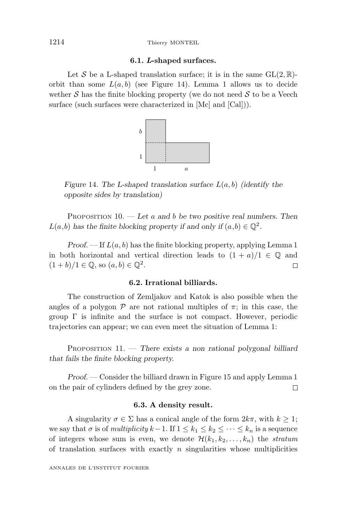#### 1214 Thierry MONTEIL

#### **6.1.** *L***-shaped surfaces.**

Let S be a L-shaped translation surface; it is in the same  $GL(2,\mathbb{R})$ orbit than some  $L(a, b)$  (see Figure 14). Lemma 1 allows us to decide wether  $S$  has the finite blocking property (we do not need  $S$  to be a Veech surface (such surfaces were characterized in [Mc] and [Cal])).



*Figure* 14*. The L-shaped translation surface L*(*a, b*) *(identify the opposite sides by translation)*

PROPOSITION 10. — *Let a and b be two positive real numbers. Then*  $L(a,b)$  has the finite blocking property if and only if  $(a,b) \in \mathbb{Q}^2$ .

*Proof.*  $\overline{\phantom{a}}$  If  $L(a, b)$  has the finite blocking property, applying Lemma 1 in both horizontal and vertical direction leads to  $(1 + a)/1 \in \mathbb{Q}$  and  $(1 + b)/1 \in \mathbb{Q}$ , so  $(a, b) \in \mathbb{Q}^2$ .  $\Box$ 

#### **6.2. Irrational billiards.**

The construction of Zemljakov and Katok is also possible when the angles of a polygon  $\mathcal P$  are not rational multiples of  $\pi$ ; in this case, the group  $\Gamma$  is infinite and the surface is not compact. However, periodic trajectories can appear; we can even meet the situation of Lemma 1:

PROPOSITION 11. — *There exists a non rational polygonal billiard that fails the finite blocking property.*

*Proof*. — Consider the billiard drawn in Figure 15 and apply Lemma 1 on the pair of cylinders defined by the grey zone.  $\Box$ 

#### **6.3. A density result.**

A singularity  $\sigma \in \Sigma$  has a conical angle of the form  $2k\pi$ , with  $k \geq 1$ ; we say that  $\sigma$  is of *multiplicity*  $k-1$ . If  $1 \leq k_1 \leq k_2 \leq \cdots \leq k_n$  is a sequence of integers whose sum is even, we denote  $\mathcal{H}(k_1,k_2,\ldots,k_n)$  the *stratum* of translation surfaces with exactly *n* singularities whose multiplicities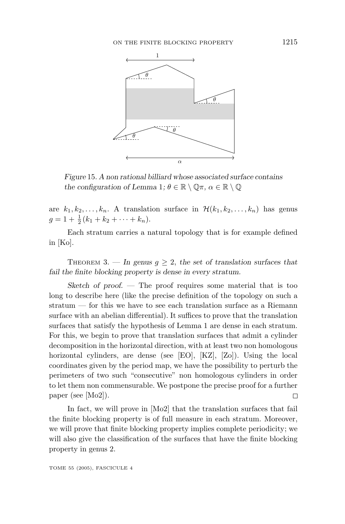

*Figure* 15*. A non rational billiard whose associated surface contains the configuration of Lemma* 1*;*  $\theta \in \mathbb{R} \setminus \mathbb{Q}\pi$ ,  $\alpha \in \mathbb{R} \setminus \mathbb{Q}$ 

are  $k_1, k_2, \ldots, k_n$ . A translation surface in  $\mathcal{H}(k_1, k_2, \ldots, k_n)$  has genus  $g = 1 + \frac{1}{2} (k_1 + k_2 + \cdots + k_n).$ 

Each stratum carries a natural topology that is for example defined in [Ko].

THEOREM 3. — In genus  $q \geq 2$ , the set of translation surfaces that *fail the finite blocking property is dense in every stratum.*

*Sketch of proof*. — The proof requires some material that is too long to describe here (like the precise definition of the topology on such a stratum — for this we have to see each translation surface as a Riemann surface with an abelian differential). It suffices to prove that the translation surfaces that satisfy the hypothesis of Lemma 1 are dense in each stratum. For this, we begin to prove that translation surfaces that admit a cylinder decomposition in the horizontal direction, with at least two non homologous horizontal cylinders, are dense (see [EO], [KZ], [Zo]). Using the local coordinates given by the period map, we have the possibility to perturb the perimeters of two such "consecutive" non homologous cylinders in order to let them non commensurable. We postpone the precise proof for a further paper (see [Mo2]). Π

In fact, we will prove in [Mo2] that the translation surfaces that fail the finite blocking property is of full measure in each stratum. Moreover, we will prove that finite blocking property implies complete periodicity; we will also give the classification of the surfaces that have the finite blocking property in genus 2.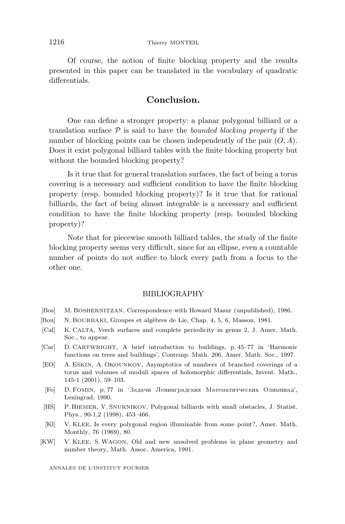Of course, the notion of finite blocking property and the results presented in this paper can be translated in the vocabulary of quadratic differentials.

# **Conclusion.**

One can define a stronger property: a planar polygonal billiard or a translation surface  $P$  is said to have the *bounded blocking property* if the number of blocking points can be chosen independently of the pair (*O, A*). Does it exist polygonal billiard tables with the finite blocking property but without the bounded blocking property?

Is it true that for general translation surfaces, the fact of being a torus covering is a necessary and sufficient condition to have the finite blocking property (resp. bounded blocking property)? Is it true that for rational billiards, the fact of being almost integrable is a necessary and sufficient condition to have the finite blocking property (resp. bounded blocking property)?

Note that for piecewise smooth billiard tables, the study of the finite blocking property seems very difficult, since for an ellipse, even a countable number of points do not suffice to block every path from a focus to the other one.

#### BIBLIOGRAPHY

- [Bos] M. BOSHERNITZAN, Correspondence with Howard Masur (unpublished), 1986.
- [Bou] N. BOURBAKI, Groupes et alg`ebres de Lie, Chap. 4, 5, 6, Masson, 1981.
- [Cal] K. CALTA, Veech surfaces and complete periodicity in genus 2, J. Amer. Math. Soc., to appear.
- [Car] D. CARTWRIGHT, A brief introduction to buildings, p. 45–77 in 'Harmonic functions on trees and buildings', Contemp. Math. 206, Amer. Math. Soc., 1997.
- [EO] A. ESKIN, A. OKOUNKOV, Asymptotics of numbers of branched coverings of a torus and volumes of moduli spaces of holomorphic differentials, Invent. Math., 145-1 (2001), 59–103.
- [Fo] D. FOMIN, p. 77 in 'Задачи Ленинградских Математитческих Олимпиад', Leningrad, 1990.
- [HS] P. HIEMER, V. SNURNIKOV, Polygonal billiards with small obstacles, J. Statist. Phys., 90-1,2 (1998), 453–466.
- [Kl] V. KLEE, Is every polygonal region illuminable from some point?, Amer. Math. Monthly, 76 (1969), 80.
- [KW] V. KLEE, S. WAGON, Old and new unsolved problems in plane geometry and number theory, Math. Assoc. America, 1991.